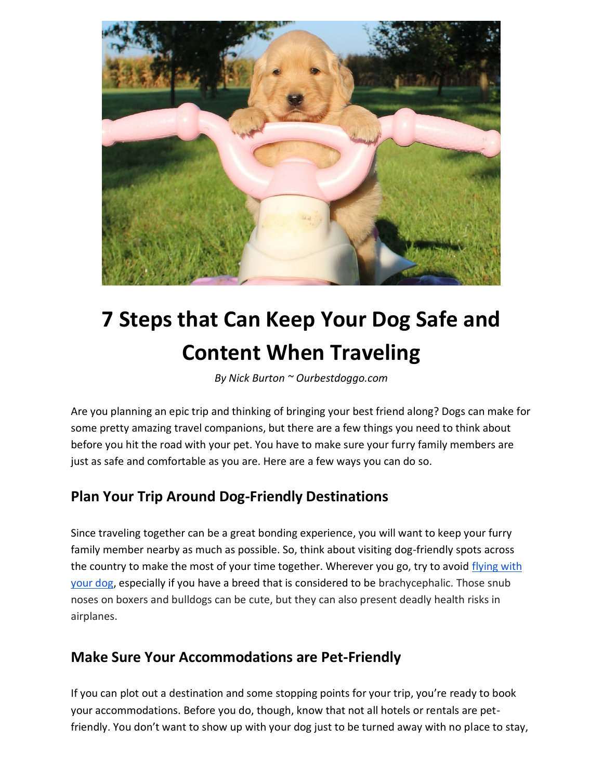

# **7 Steps that Can Keep Your Dog Safe and Content When Traveling**

*By Nick Burton ~ Ourbestdoggo.com* 

Are you planning an epic trip and thinking of bringing your best friend along? Dogs can make for some pretty amazing travel companions, but there are a few things you need to think about before you hit the road with your pet. You have to make sure your furry family members are just as safe and comfortable as you are. Here are a few ways you can do so.

## **Plan Your Trip Around Dog-Friendly Destinations**

Since traveling together can be a great bonding experience, you will want to keep your furry family member nearby as much as possible. So, think about visiting dog-friendly spots across the country to make the most of your time together. Wherever you go, try to avoid [flying with](https://www.cnn.com/travel/article/flying-with-a-dog/index.html) [your dog,](https://www.cnn.com/travel/article/flying-with-a-dog/index.html) especially if you have a breed that is considered to be brachycephalic. Those snub noses on boxers and bulldogs can be cute, but they can also present deadly health risks in airplanes.

## **Make Sure Your Accommodations are Pet-Friendly**

If you can plot out a destination and some stopping points for your trip, you're ready to book your accommodations. Before you do, though, know that not all hotels or rentals are petfriendly. You don't want to show up with your dog just to be turned away with no place to stay,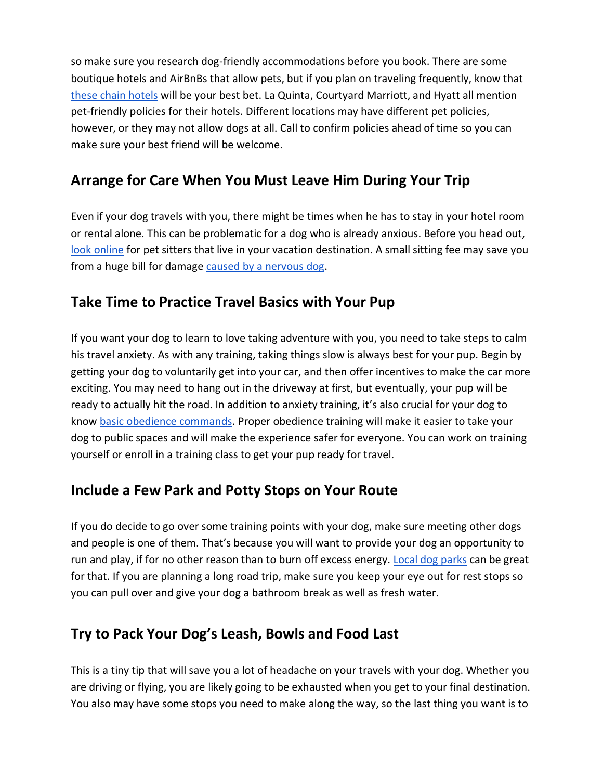so make sure you research dog-friendly accommodations before you book. There are some boutique hotels and AirBnBs that allow pets, but if you plan on traveling frequently, know that [these chain hotels](https://www.bustle.com/p/15-affordable-pet-friendly-hotels-in-the-us-that-will-welcome-your-furry-friend-10145322) will be your best bet. La Quinta, Courtyard Marriott, and Hyatt all mention pet-friendly policies for their hotels. Different locations may have different pet policies, however, or they may not allow dogs at all. Call to confirm policies ahead of time so you can make sure your best friend will be welcome.

## **Arrange for Care When You Must Leave Him During Your Trip**

Even if your dog travels with you, there might be times when he has to stay in your hotel room or rental alone. This can be problematic for a dog who is already anxious. Before you head out, [look online](https://citypetsitters.com/how-to-find-a-pet-sitter-online/) for pet sitters that live in your vacation destination. A small sitting fee may save you from a huge bill for damage [caused by a nervous dog.](http://www.pethealthnetwork.com/dog-health/dog-behavior/why-my-dog-destroying-my-house)

#### **Take Time to Practice Travel Basics with Your Pup**

If you want your dog to learn to love taking adventure with you, you need to take steps to calm his travel anxiety. As with any training, taking things slow is always best for your pup. Begin by getting your dog to voluntarily get into your car, and then offer incentives to make the car more exciting. You may need to hang out in the driveway at first, but eventually, your pup will be ready to actually hit the road. In addition to anxiety training, it's also crucial for your dog to know [basic obedience commands.](https://www.canidae.com/blog/2017/09/6-benefits-of-obedience-training-for-dogs/) Proper obedience training will make it easier to take your dog to public spaces and will make the experience safer for everyone. You can work on training yourself or enroll in a training class to get your pup ready for travel.

#### **Include a Few Park and Potty Stops on Your Route**

If you do decide to go over some training points with your dog, make sure meeting other dogs and people is one of them. That's because you will want to provide your dog an opportunity to run and play, if for no other reason than to burn off excess energy. [Local dog parks](https://www.bringfido.com/sitemap/attraction/) can be great for that. If you are planning a long road trip, make sure you keep your eye out for rest stops so you can pull over and give your dog a bathroom break as well as fresh water.

#### **Try to Pack Your Dog's Leash, Bowls and Food Last**

This is a tiny tip that will save you a lot of headache on your travels with your dog. Whether you are driving or flying, you are likely going to be exhausted when you get to your final destination. You also may have some stops you need to make along the way, so the last thing you want is to